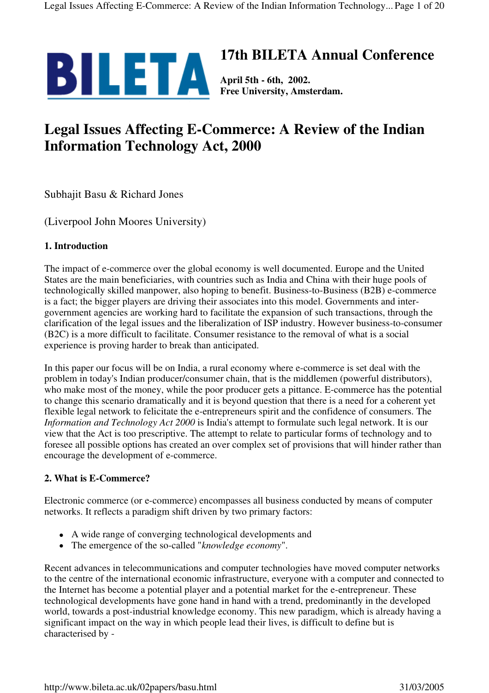

# **17th BILETA Annual Conference**

**April 5th - 6th, 2002. Free University, Amsterdam.**

# **Legal Issues Affecting E-Commerce: A Review of the Indian Information Technology Act, 2000**

Subhajit Basu & Richard Jones

(Liverpool John Moores University)

# **1. Introduction**

The impact of e-commerce over the global economy is well documented. Europe and the United States are the main beneficiaries, with countries such as India and China with their huge pools of technologically skilled manpower, also hoping to benefit. Business-to-Business (B2B) e-commerce is a fact; the bigger players are driving their associates into this model. Governments and intergovernment agencies are working hard to facilitate the expansion of such transactions, through the clarification of the legal issues and the liberalization of ISP industry. However business-to-consumer (B2C) is a more difficult to facilitate. Consumer resistance to the removal of what is a social experience is proving harder to break than anticipated.

In this paper our focus will be on India, a rural economy where e-commerce is set deal with the problem in today's Indian producer/consumer chain, that is the middlemen (powerful distributors), who make most of the money, while the poor producer gets a pittance. E-commerce has the potential to change this scenario dramatically and it is beyond question that there is a need for a coherent yet flexible legal network to felicitate the e-entrepreneurs spirit and the confidence of consumers. The *Information and Technology Act 2000* is India's attempt to formulate such legal network. It is our view that the Act is too prescriptive. The attempt to relate to particular forms of technology and to foresee all possible options has created an over complex set of provisions that will hinder rather than encourage the development of e-commerce.

# **2. What is E-Commerce?**

Electronic commerce (or e-commerce) encompasses all business conducted by means of computer networks. It reflects a paradigm shift driven by two primary factors:

- A wide range of converging technological developments and
- The emergence of the so-called "*knowledge economy*".

Recent advances in telecommunications and computer technologies have moved computer networks to the centre of the international economic infrastructure, everyone with a computer and connected to the Internet has become a potential player and a potential market for the e-entrepreneur. These technological developments have gone hand in hand with a trend, predominantly in the developed world, towards a post-industrial knowledge economy. This new paradigm, which is already having a significant impact on the way in which people lead their lives, is difficult to define but is characterised by -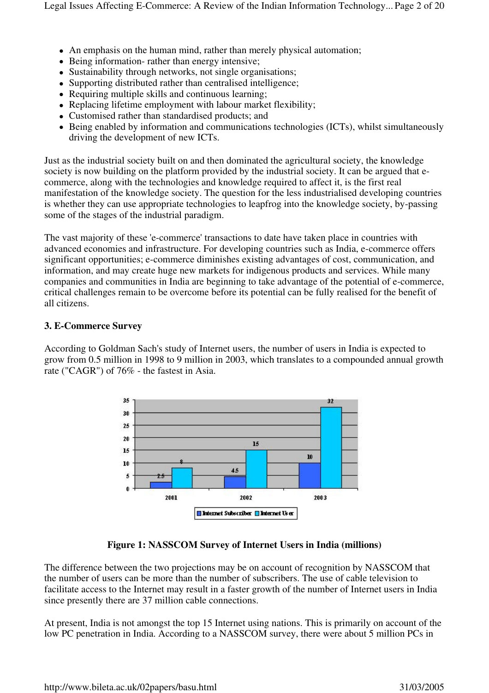- An emphasis on the human mind, rather than merely physical automation;
- Being information- rather than energy intensive;
- Sustainability through networks, not single organisations;
- Supporting distributed rather than centralised intelligence:
- Requiring multiple skills and continuous learning;
- Replacing lifetime employment with labour market flexibility;
- Customised rather than standardised products; and
- Being enabled by information and communications technologies (ICTs), whilst simultaneously driving the development of new ICTs.

Just as the industrial society built on and then dominated the agricultural society, the knowledge society is now building on the platform provided by the industrial society. It can be argued that ecommerce, along with the technologies and knowledge required to affect it, is the first real manifestation of the knowledge society. The question for the less industrialised developing countries is whether they can use appropriate technologies to leapfrog into the knowledge society, by-passing some of the stages of the industrial paradigm.

The vast majority of these 'e-commerce' transactions to date have taken place in countries with advanced economies and infrastructure. For developing countries such as India, e-commerce offers significant opportunities; e-commerce diminishes existing advantages of cost, communication, and information, and may create huge new markets for indigenous products and services. While many companies and communities in India are beginning to take advantage of the potential of e-commerce, critical challenges remain to be overcome before its potential can be fully realised for the benefit of all citizens.

# **3. E-Commerce Survey**

According to Goldman Sach's study of Internet users, the number of users in India is expected to grow from 0.5 million in 1998 to 9 million in 2003, which translates to a compounded annual growth rate ("CAGR") of 76% - the fastest in Asia.



## **Figure 1: NASSCOM Survey of Internet Users in India (millions)**

The difference between the two projections may be on account of recognition by NASSCOM that the number of users can be more than the number of subscribers. The use of cable television to facilitate access to the Internet may result in a faster growth of the number of Internet users in India since presently there are 37 million cable connections.

At present, India is not amongst the top 15 Internet using nations. This is primarily on account of the low PC penetration in India. According to a NASSCOM survey, there were about 5 million PCs in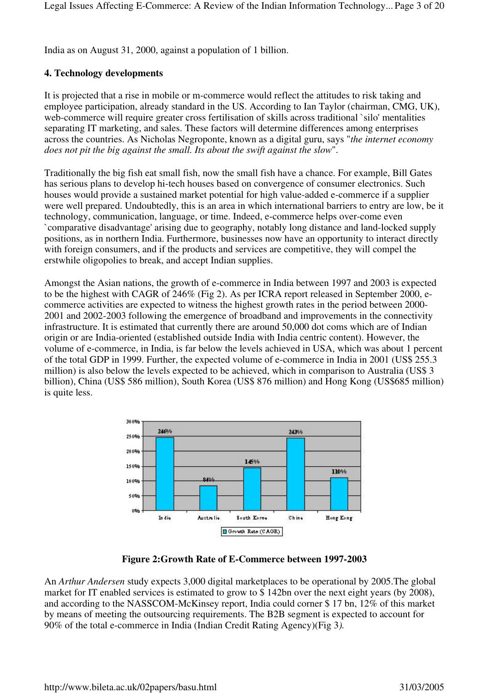India as on August 31, 2000, against a population of 1 billion.

# **4. Technology developments**

It is projected that a rise in mobile or m-commerce would reflect the attitudes to risk taking and employee participation, already standard in the US. According to Ian Taylor (chairman, CMG, UK), web-commerce will require greater cross fertilisation of skills across traditional `silo' mentalities separating IT marketing, and sales. These factors will determine differences among enterprises across the countries. As Nicholas Negroponte, known as a digital guru, says "*the internet economy does not pit the big against the small. Its about the swift against the slow*".

Traditionally the big fish eat small fish, now the small fish have a chance. For example, Bill Gates has serious plans to develop hi-tech houses based on convergence of consumer electronics. Such houses would provide a sustained market potential for high value-added e-commerce if a supplier were well prepared. Undoubtedly, this is an area in which international barriers to entry are low, be it technology, communication, language, or time. Indeed, e-commerce helps over-come even `comparative disadvantage' arising due to geography, notably long distance and land-locked supply positions, as in northern India. Furthermore, businesses now have an opportunity to interact directly with foreign consumers, and if the products and services are competitive, they will compel the erstwhile oligopolies to break, and accept Indian supplies.

Amongst the Asian nations, the growth of e-commerce in India between 1997 and 2003 is expected to be the highest with CAGR of 246% (Fig 2). As per ICRA report released in September 2000, ecommerce activities are expected to witness the highest growth rates in the period between 2000- 2001 and 2002-2003 following the emergence of broadband and improvements in the connectivity infrastructure. It is estimated that currently there are around 50,000 dot coms which are of Indian origin or are India-oriented (established outside India with India centric content). However, the volume of e-commerce, in India, is far below the levels achieved in USA, which was about 1 percent of the total GDP in 1999. Further, the expected volume of e-commerce in India in 2001 (US\$ 255.3 million) is also below the levels expected to be achieved, which in comparison to Australia (US\$ 3 billion), China (US\$ 586 million), South Korea (US\$ 876 million) and Hong Kong (US\$685 million) is quite less.



**Figure 2:Growth Rate of E-Commerce between 1997-2003**

An *Arthur Andersen* study expects 3,000 digital marketplaces to be operational by 2005.The global market for IT enabled services is estimated to grow to \$ 142bn over the next eight years (by 2008), and according to the NASSCOM-McKinsey report, India could corner \$ 17 bn, 12% of this market by means of meeting the outsourcing requirements. The B2B segment is expected to account for 90% of the total e-commerce in India (Indian Credit Rating Agency)(Fig 3*).*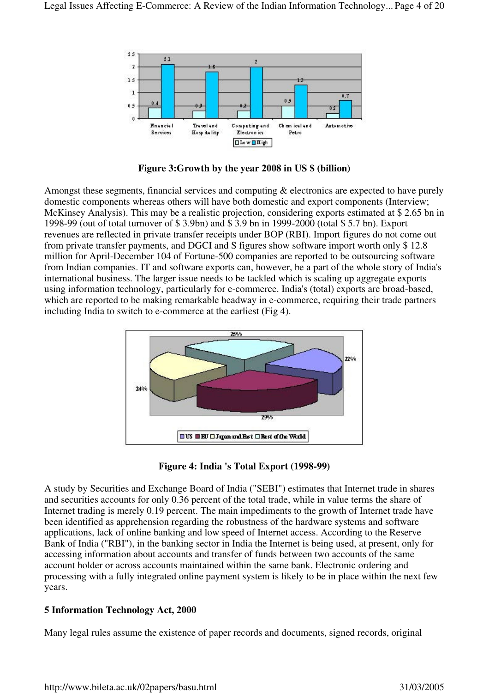

**Figure 3:Growth by the year 2008 in US \$ (billion)**

Amongst these segments, financial services and computing & electronics are expected to have purely domestic components whereas others will have both domestic and export components (Interview; McKinsey Analysis). This may be a realistic projection, considering exports estimated at \$ 2.65 bn in 1998-99 (out of total turnover of \$ 3.9bn) and \$ 3.9 bn in 1999-2000 (total \$ 5.7 bn). Export revenues are reflected in private transfer receipts under BOP (RBI). Import figures do not come out from private transfer payments, and DGCI and S figures show software import worth only \$ 12.8 million for April-December 104 of Fortune-500 companies are reported to be outsourcing software from Indian companies. IT and software exports can, however, be a part of the whole story of India's international business. The larger issue needs to be tackled which is scaling up aggregate exports using information technology, particularly for e-commerce. India's (total) exports are broad-based, which are reported to be making remarkable headway in e-commerce, requiring their trade partners including India to switch to e-commerce at the earliest (Fig 4).



**Figure 4: India 's Total Export (1998-99)**

A study by Securities and Exchange Board of India ("SEBI") estimates that Internet trade in shares and securities accounts for only 0.36 percent of the total trade, while in value terms the share of Internet trading is merely 0.19 percent. The main impediments to the growth of Internet trade have been identified as apprehension regarding the robustness of the hardware systems and software applications, lack of online banking and low speed of Internet access. According to the Reserve Bank of India ("RBI"), in the banking sector in India the Internet is being used, at present, only for accessing information about accounts and transfer of funds between two accounts of the same account holder or across accounts maintained within the same bank. Electronic ordering and processing with a fully integrated online payment system is likely to be in place within the next few years.

# **5 Information Technology Act, 2000**

Many legal rules assume the existence of paper records and documents, signed records, original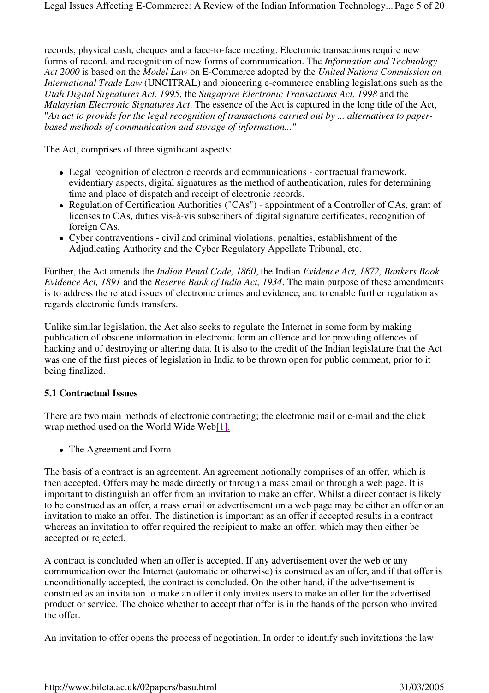records, physical cash, cheques and a face-to-face meeting. Electronic transactions require new forms of record, and recognition of new forms of communication. The *Information and Technology Act 2000* is based on the *Model Law* on E-Commerce adopted by the *United Nations Commission on International Trade Law* (UNCITRAL) and pioneering e-commerce enabling legislations such as the *Utah Digital Signatures Act, 1995*, the *Singapore Electronic Transactions Act, 1998* and the *Malaysian Electronic Signatures Act*. The essence of the Act is captured in the long title of the Act, "*An act to provide for the legal recognition of transactions carried out by ... alternatives to paperbased methods of communication and storage of information..."*

The Act, comprises of three significant aspects:

- Legal recognition of electronic records and communications contractual framework, evidentiary aspects, digital signatures as the method of authentication, rules for determining time and place of dispatch and receipt of electronic records.
- Regulation of Certification Authorities ("CAs") appointment of a Controller of CAs, grant of licenses to CAs, duties vis-à-vis subscribers of digital signature certificates, recognition of foreign CAs.
- Cyber contraventions civil and criminal violations, penalties, establishment of the Adjudicating Authority and the Cyber Regulatory Appellate Tribunal, etc.

Further, the Act amends the *Indian Penal Code, 1860*, the Indian *Evidence Act, 1872, Bankers Book Evidence Act, 1891* and the *Reserve Bank of India Act, 1934*. The main purpose of these amendments is to address the related issues of electronic crimes and evidence, and to enable further regulation as regards electronic funds transfers.

Unlike similar legislation, the Act also seeks to regulate the Internet in some form by making publication of obscene information in electronic form an offence and for providing offences of hacking and of destroying or altering data. It is also to the credit of the Indian legislature that the Act was one of the first pieces of legislation in India to be thrown open for public comment, prior to it being finalized.

# **5.1 Contractual Issues**

There are two main methods of electronic contracting; the electronic mail or e-mail and the click wrap method used on the World Wide Web[1].

• The Agreement and Form

The basis of a contract is an agreement. An agreement notionally comprises of an offer, which is then accepted. Offers may be made directly or through a mass email or through a web page. It is important to distinguish an offer from an invitation to make an offer. Whilst a direct contact is likely to be construed as an offer, a mass email or advertisement on a web page may be either an offer or an invitation to make an offer. The distinction is important as an offer if accepted results in a contract whereas an invitation to offer required the recipient to make an offer, which may then either be accepted or rejected.

A contract is concluded when an offer is accepted. If any advertisement over the web or any communication over the Internet (automatic or otherwise) is construed as an offer, and if that offer is unconditionally accepted, the contract is concluded. On the other hand, if the advertisement is construed as an invitation to make an offer it only invites users to make an offer for the advertised product or service. The choice whether to accept that offer is in the hands of the person who invited the offer.

An invitation to offer opens the process of negotiation. In order to identify such invitations the law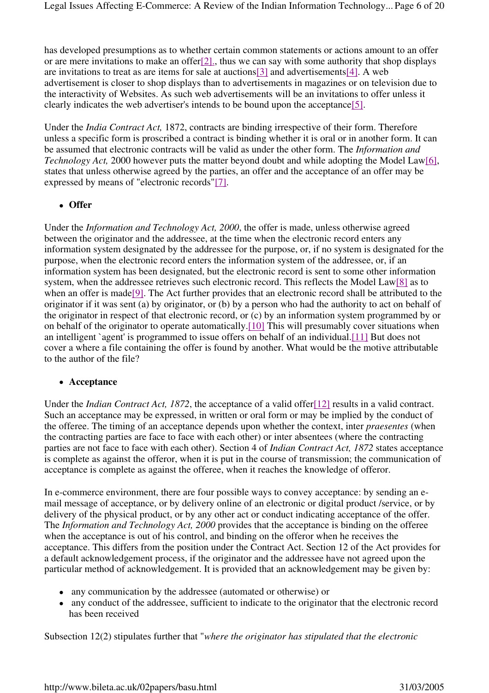has developed presumptions as to whether certain common statements or actions amount to an offer or are mere invitations to make an offer[2]., thus we can say with some authority that shop displays are invitations to treat as are items for sale at auctions[3] and advertisements[4]. A web advertisement is closer to shop displays than to advertisements in magazines or on television due to the interactivity of Websites. As such web advertisements will be an invitations to offer unless it clearly indicates the web advertiser's intends to be bound upon the acceptance[5].

Under the *India Contract Act,* 1872, contracts are binding irrespective of their form. Therefore unless a specific form is proscribed a contract is binding whether it is oral or in another form. It can be assumed that electronic contracts will be valid as under the other form. The *Information and Technology Act,* 2000 however puts the matter beyond doubt and while adopting the Model Law[6], states that unless otherwise agreed by the parties, an offer and the acceptance of an offer may be expressed by means of "electronic records"[7].

## **Offer**

Under the *Information and Technology Act, 2000*, the offer is made, unless otherwise agreed between the originator and the addressee, at the time when the electronic record enters any information system designated by the addressee for the purpose, or, if no system is designated for the purpose, when the electronic record enters the information system of the addressee, or, if an information system has been designated, but the electronic record is sent to some other information system, when the addressee retrieves such electronic record. This reflects the Model Law[8] as to when an offer is made[9]. The Act further provides that an electronic record shall be attributed to the originator if it was sent (a) by originator, or (b) by a person who had the authority to act on behalf of the originator in respect of that electronic record, or (c) by an information system programmed by or on behalf of the originator to operate automatically.[10] This will presumably cover situations when an intelligent `agent' is programmed to issue offers on behalf of an individual.[11] But does not cover a where a file containing the offer is found by another. What would be the motive attributable to the author of the file?

## **Acceptance**

Under the *Indian Contract Act, 1872*, the acceptance of a valid offer[12] results in a valid contract. Such an acceptance may be expressed, in written or oral form or may be implied by the conduct of the offeree. The timing of an acceptance depends upon whether the context, inter *praesentes* (when the contracting parties are face to face with each other) or inter absentees (where the contracting parties are not face to face with each other). Section 4 of *Indian Contract Act, 1872* states acceptance is complete as against the offeror, when it is put in the course of transmission; the communication of acceptance is complete as against the offeree, when it reaches the knowledge of offeror.

In e-commerce environment, there are four possible ways to convey acceptance: by sending an email message of acceptance, or by delivery online of an electronic or digital product /service, or by delivery of the physical product, or by any other act or conduct indicating acceptance of the offer. The *Information and Technology Act, 2000* provides that the acceptance is binding on the offeree when the acceptance is out of his control, and binding on the offeror when he receives the acceptance. This differs from the position under the Contract Act. Section 12 of the Act provides for a default acknowledgement process, if the originator and the addressee have not agreed upon the particular method of acknowledgement. It is provided that an acknowledgement may be given by:

- any communication by the addressee (automated or otherwise) or
- any conduct of the addressee, sufficient to indicate to the originator that the electronic record has been received

Subsection 12(2) stipulates further that "*where the originator has stipulated that the electronic*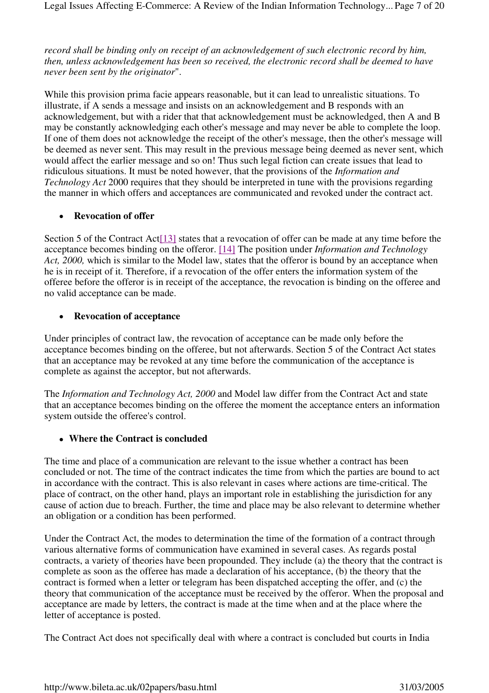*record shall be binding only on receipt of an acknowledgement of such electronic record by him, then, unless acknowledgement has been so received, the electronic record shall be deemed to have never been sent by the originator*".

While this provision prima facie appears reasonable, but it can lead to unrealistic situations. To illustrate, if A sends a message and insists on an acknowledgement and B responds with an acknowledgement, but with a rider that that acknowledgement must be acknowledged, then A and B may be constantly acknowledging each other's message and may never be able to complete the loop. If one of them does not acknowledge the receipt of the other's message, then the other's message will be deemed as never sent. This may result in the previous message being deemed as never sent, which would affect the earlier message and so on! Thus such legal fiction can create issues that lead to ridiculous situations. It must be noted however, that the provisions of the *Information and Technology Act* 2000 requires that they should be interpreted in tune with the provisions regarding the manner in which offers and acceptances are communicated and revoked under the contract act.

# **Revocation of offer**

Section 5 of the Contract Act<sup>[13]</sup> states that a revocation of offer can be made at any time before the acceptance becomes binding on the offeror. [14] The position under *Information and Technology Act, 2000,* which is similar to the Model law, states that the offeror is bound by an acceptance when he is in receipt of it. Therefore, if a revocation of the offer enters the information system of the offeree before the offeror is in receipt of the acceptance, the revocation is binding on the offeree and no valid acceptance can be made.

## **Revocation of acceptance**

Under principles of contract law, the revocation of acceptance can be made only before the acceptance becomes binding on the offeree, but not afterwards. Section 5 of the Contract Act states that an acceptance may be revoked at any time before the communication of the acceptance is complete as against the acceptor, but not afterwards.

The *Information and Technology Act, 2000* and Model law differ from the Contract Act and state that an acceptance becomes binding on the offeree the moment the acceptance enters an information system outside the offeree's control.

## **Where the Contract is concluded**

The time and place of a communication are relevant to the issue whether a contract has been concluded or not. The time of the contract indicates the time from which the parties are bound to act in accordance with the contract. This is also relevant in cases where actions are time-critical. The place of contract, on the other hand, plays an important role in establishing the jurisdiction for any cause of action due to breach. Further, the time and place may be also relevant to determine whether an obligation or a condition has been performed.

Under the Contract Act, the modes to determination the time of the formation of a contract through various alternative forms of communication have examined in several cases. As regards postal contracts, a variety of theories have been propounded. They include (a) the theory that the contract is complete as soon as the offeree has made a declaration of his acceptance, (b) the theory that the contract is formed when a letter or telegram has been dispatched accepting the offer, and (c) the theory that communication of the acceptance must be received by the offeror. When the proposal and acceptance are made by letters, the contract is made at the time when and at the place where the letter of acceptance is posted.

The Contract Act does not specifically deal with where a contract is concluded but courts in India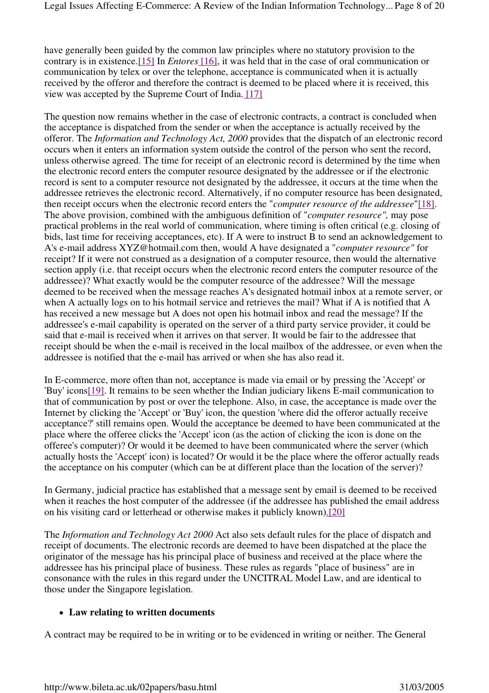have generally been guided by the common law principles where no statutory provision to the contrary is in existence.[15] In *Entores* [16], it was held that in the case of oral communication or communication by telex or over the telephone, acceptance is communicated when it is actually received by the offeror and therefore the contract is deemed to be placed where it is received, this view was accepted by the Supreme Court of India. [17]

The question now remains whether in the case of electronic contracts, a contract is concluded when the acceptance is dispatched from the sender or when the acceptance is actually received by the offeror. The *Information and Technology Act, 2000* provides that the dispatch of an electronic record occurs when it enters an information system outside the control of the person who sent the record, unless otherwise agreed. The time for receipt of an electronic record is determined by the time when the electronic record enters the computer resource designated by the addressee or if the electronic record is sent to a computer resource not designated by the addressee, it occurs at the time when the addressee retrieves the electronic record. Alternatively, if no computer resource has been designated, then receipt occurs when the electronic record enters the "*computer resource of the addressee*"[18]. The above provision, combined with the ambiguous definition of "*computer resource",* may pose practical problems in the real world of communication, where timing is often critical (e.g. closing of bids, last time for receiving acceptances, etc). If A were to instruct B to send an acknowledgement to A's e-mail address XYZ@hotmail.com then, would A have designated a "*computer resource"* for receipt? If it were not construed as a designation of a computer resource, then would the alternative section apply (i.e. that receipt occurs when the electronic record enters the computer resource of the addressee)? What exactly would be the computer resource of the addressee? Will the message deemed to be received when the message reaches A's designated hotmail inbox at a remote server, or when A actually logs on to his hotmail service and retrieves the mail? What if A is notified that A has received a new message but A does not open his hotmail inbox and read the message? If the addressee's e-mail capability is operated on the server of a third party service provider, it could be said that e-mail is received when it arrives on that server. It would be fair to the addressee that receipt should be when the e-mail is received in the local mailbox of the addressee, or even when the addressee is notified that the e-mail has arrived or when she has also read it.

In E-commerce, more often than not, acceptance is made via email or by pressing the 'Accept' or 'Buy' icons[19]. It remains to be seen whether the Indian judiciary likens E-mail communication to that of communication by post or over the telephone. Also, in case, the acceptance is made over the Internet by clicking the 'Accept' or 'Buy' icon, the question 'where did the offeror actually receive acceptance?' still remains open. Would the acceptance be deemed to have been communicated at the place where the offeree clicks the 'Accept' icon (as the action of clicking the icon is done on the offeree's computer)? Or would it be deemed to have been communicated where the server (which actually hosts the 'Accept' icon) is located? Or would it be the place where the offeror actually reads the acceptance on his computer (which can be at different place than the location of the server)?

In Germany, judicial practice has established that a message sent by email is deemed to be received when it reaches the host computer of the addressee (if the addressee has published the email address on his visiting card or letterhead or otherwise makes it publicly known).[20]

The *Information and Technology Act 2000* Act also sets default rules for the place of dispatch and receipt of documents. The electronic records are deemed to have been dispatched at the place the originator of the message has his principal place of business and received at the place where the addressee has his principal place of business. These rules as regards "place of business" are in consonance with the rules in this regard under the UNCITRAL Model Law, and are identical to those under the Singapore legislation.

# **Law relating to written documents**

A contract may be required to be in writing or to be evidenced in writing or neither. The General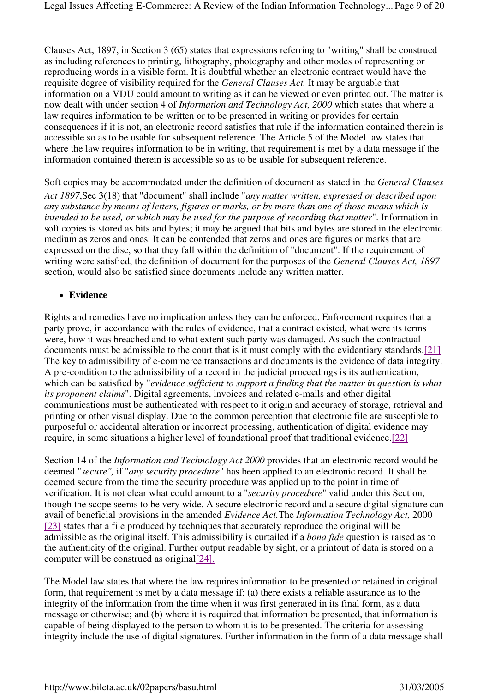Clauses Act, 1897, in Section 3 (65) states that expressions referring to "writing" shall be construed as including references to printing, lithography, photography and other modes of representing or reproducing words in a visible form. It is doubtful whether an electronic contract would have the requisite degree of visibility required for the *General Clauses Act.* It may be arguable that information on a VDU could amount to writing as it can be viewed or even printed out. The matter is now dealt with under section 4 of *Information and Technology Act, 2000* which states that where a law requires information to be written or to be presented in writing or provides for certain consequences if it is not, an electronic record satisfies that rule if the information contained therein is accessible so as to be usable for subsequent reference. The Article 5 of the Model law states that where the law requires information to be in writing, that requirement is met by a data message if the information contained therein is accessible so as to be usable for subsequent reference.

Soft copies may be accommodated under the definition of document as stated in the *General Clauses* 

*Act 1897*,Sec 3(18) that "document" shall include "*any matter written, expressed or described upon any substance by means of letters, figures or marks, or by more than one of those means which is intended to be used, or which may be used for the purpose of recording that matter*". Information in soft copies is stored as bits and bytes; it may be argued that bits and bytes are stored in the electronic medium as zeros and ones. It can be contended that zeros and ones are figures or marks that are expressed on the disc, so that they fall within the definition of "document". If the requirement of writing were satisfied, the definition of document for the purposes of the *General Clauses Act, 1897* section, would also be satisfied since documents include any written matter.

# **Evidence**

Rights and remedies have no implication unless they can be enforced. Enforcement requires that a party prove, in accordance with the rules of evidence, that a contract existed, what were its terms were, how it was breached and to what extent such party was damaged. As such the contractual documents must be admissible to the court that is it must comply with the evidentiary standards.[21] The key to admissibility of e-commerce transactions and documents is the evidence of data integrity. A pre-condition to the admissibility of a record in the judicial proceedings is its authentication, which can be satisfied by "*evidence sufficient to support a finding that the matter in question is what its proponent claims*". Digital agreements, invoices and related e-mails and other digital communications must be authenticated with respect to it origin and accuracy of storage, retrieval and printing or other visual display. Due to the common perception that electronic file are susceptible to purposeful or accidental alteration or incorrect processing, authentication of digital evidence may require, in some situations a higher level of foundational proof that traditional evidence.[22]

Section 14 of the *Information and Technology Act 2000* provides that an electronic record would be deemed "*secure",* if "*any security procedure*" has been applied to an electronic record. It shall be deemed secure from the time the security procedure was applied up to the point in time of verification. It is not clear what could amount to a "*security procedure*" valid under this Section, though the scope seems to be very wide. A secure electronic record and a secure digital signature can avail of beneficial provisions in the amended *Evidence Act.*The *Information Technology Act,* 2000 [23] states that a file produced by techniques that accurately reproduce the original will be admissible as the original itself. This admissibility is curtailed if a *bona fide* question is raised as to the authenticity of the original. Further output readable by sight, or a printout of data is stored on a computer will be construed as original[24].

The Model law states that where the law requires information to be presented or retained in original form, that requirement is met by a data message if: (a) there exists a reliable assurance as to the integrity of the information from the time when it was first generated in its final form, as a data message or otherwise; and (b) where it is required that information be presented, that information is capable of being displayed to the person to whom it is to be presented. The criteria for assessing integrity include the use of digital signatures. Further information in the form of a data message shall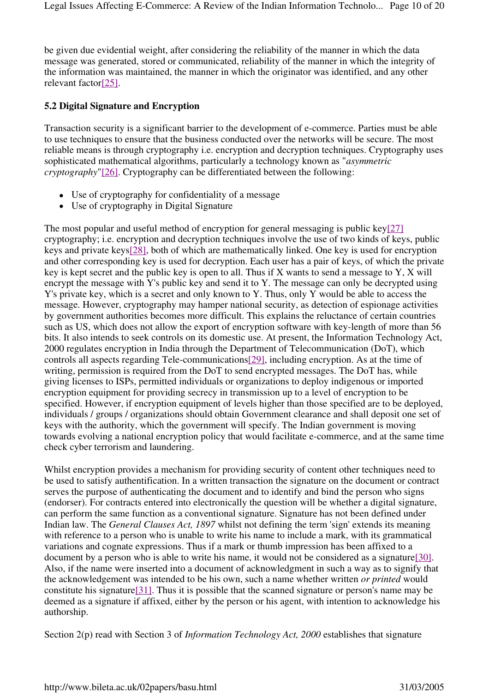be given due evidential weight, after considering the reliability of the manner in which the data message was generated, stored or communicated, reliability of the manner in which the integrity of the information was maintained, the manner in which the originator was identified, and any other relevant factor[25].

# **5.2 Digital Signature and Encryption**

Transaction security is a significant barrier to the development of e-commerce. Parties must be able to use techniques to ensure that the business conducted over the networks will be secure. The most reliable means is through cryptography i.e. encryption and decryption techniques. Cryptography uses sophisticated mathematical algorithms, particularly a technology known as "*asymmetric cryptography*"[26]. Cryptography can be differentiated between the following:

- Use of cryptography for confidentiality of a message
- Use of cryptography in Digital Signature

The most popular and useful method of encryption for general messaging is public key[27] cryptography; i.e. encryption and decryption techniques involve the use of two kinds of keys, public keys and private keys[28], both of which are mathematically linked. One key is used for encryption and other corresponding key is used for decryption. Each user has a pair of keys, of which the private key is kept secret and the public key is open to all. Thus if X wants to send a message to Y, X will encrypt the message with Y's public key and send it to Y. The message can only be decrypted using Y's private key, which is a secret and only known to Y. Thus, only Y would be able to access the message. However, cryptography may hamper national security, as detection of espionage activities by government authorities becomes more difficult. This explains the reluctance of certain countries such as US, which does not allow the export of encryption software with key-length of more than 56 bits. It also intends to seek controls on its domestic use. At present, the Information Technology Act, 2000 regulates encryption in India through the Department of Telecommunication (DoT), which controls all aspects regarding Tele-communications[29], including encryption. As at the time of writing, permission is required from the DoT to send encrypted messages. The DoT has, while giving licenses to ISPs, permitted individuals or organizations to deploy indigenous or imported encryption equipment for providing secrecy in transmission up to a level of encryption to be specified. However, if encryption equipment of levels higher than those specified are to be deployed, individuals / groups / organizations should obtain Government clearance and shall deposit one set of keys with the authority, which the government will specify. The Indian government is moving towards evolving a national encryption policy that would facilitate e-commerce, and at the same time check cyber terrorism and laundering.

Whilst encryption provides a mechanism for providing security of content other techniques need to be used to satisfy authentification. In a written transaction the signature on the document or contract serves the purpose of authenticating the document and to identify and bind the person who signs (endorser). For contracts entered into electronically the question will be whether a digital signature, can perform the same function as a conventional signature. Signature has not been defined under Indian law. The *General Clauses Act, 1897* whilst not defining the term 'sign' extends its meaning with reference to a person who is unable to write his name to include a mark, with its grammatical variations and cognate expressions. Thus if a mark or thumb impression has been affixed to a document by a person who is able to write his name, it would not be considered as a signature[30]. Also, if the name were inserted into a document of acknowledgment in such a way as to signify that the acknowledgement was intended to be his own, such a name whether written *or printed* would constitute his signature[31]. Thus it is possible that the scanned signature or person's name may be deemed as a signature if affixed, either by the person or his agent, with intention to acknowledge his authorship.

Section 2(p) read with Section 3 of *Information Technology Act, 2000* establishes that signature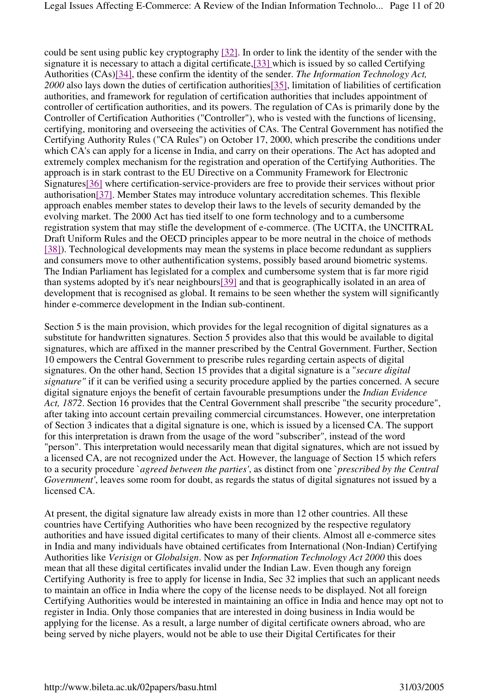could be sent using public key cryptography [32]. In order to link the identity of the sender with the signature it is necessary to attach a digital certificate,[33] which is issued by so called Certifying Authorities (CAs)[34], these confirm the identity of the sender. *The Information Technology Act, 2000* also lays down the duties of certification authorities[35], limitation of liabilities of certification authorities, and framework for regulation of certification authorities that includes appointment of controller of certification authorities, and its powers. The regulation of CAs is primarily done by the Controller of Certification Authorities ("Controller"), who is vested with the functions of licensing, certifying, monitoring and overseeing the activities of CAs. The Central Government has notified the Certifying Authority Rules ("CA Rules") on October 17, 2000, which prescribe the conditions under which CA's can apply for a license in India, and carry on their operations. The Act has adopted and extremely complex mechanism for the registration and operation of the Certifying Authorities. The approach is in stark contrast to the EU Directive on a Community Framework for Electronic Signatures[36] where certification-service-providers are free to provide their services without prior authorisation[37]. Member States may introduce voluntary accreditation schemes. This flexible approach enables member states to develop their laws to the levels of security demanded by the evolving market. The 2000 Act has tied itself to one form technology and to a cumbersome registration system that may stifle the development of e-commerce. (The UCITA, the UNCITRAL Draft Uniform Rules and the OECD principles appear to be more neutral in the choice of methods [38]). Technological developments may mean the systems in place become redundant as suppliers and consumers move to other authentification systems, possibly based around biometric systems. The Indian Parliament has legislated for a complex and cumbersome system that is far more rigid than systems adopted by it's near neighbours[39] and that is geographically isolated in an area of development that is recognised as global. It remains to be seen whether the system will significantly hinder e-commerce development in the Indian sub-continent.

Section 5 is the main provision, which provides for the legal recognition of digital signatures as a substitute for handwritten signatures. Section 5 provides also that this would be available to digital signatures, which are affixed in the manner prescribed by the Central Government. Further, Section 10 empowers the Central Government to prescribe rules regarding certain aspects of digital signatures. On the other hand, Section 15 provides that a digital signature is a "*secure digital signature"* if it can be verified using a security procedure applied by the parties concerned. A secure digital signature enjoys the benefit of certain favourable presumptions under the *Indian Evidence Act, 1872*. Section 16 provides that the Central Government shall prescribe "the security procedure", after taking into account certain prevailing commercial circumstances. However, one interpretation of Section 3 indicates that a digital signature is one, which is issued by a licensed CA. The support for this interpretation is drawn from the usage of the word "subscriber", instead of the word "person". This interpretation would necessarily mean that digital signatures, which are not issued by a licensed CA, are not recognized under the Act. However, the language of Section 15 which refers to a security procedure `*agreed between the parties'*, as distinct from one `*prescribed by the Central Government'*, leaves some room for doubt, as regards the status of digital signatures not issued by a licensed CA.

At present, the digital signature law already exists in more than 12 other countries. All these countries have Certifying Authorities who have been recognized by the respective regulatory authorities and have issued digital certificates to many of their clients. Almost all e-commerce sites in India and many individuals have obtained certificates from International (Non-Indian) Certifying Authorities like *Verisign* or *Globalsign*. Now as per *Information Technology Act 2000* this does mean that all these digital certificates invalid under the Indian Law. Even though any foreign Certifying Authority is free to apply for license in India, Sec 32 implies that such an applicant needs to maintain an office in India where the copy of the license needs to be displayed. Not all foreign Certifying Authorities would be interested in maintaining an office in India and hence may opt not to register in India. Only those companies that are interested in doing business in India would be applying for the license. As a result, a large number of digital certificate owners abroad, who are being served by niche players, would not be able to use their Digital Certificates for their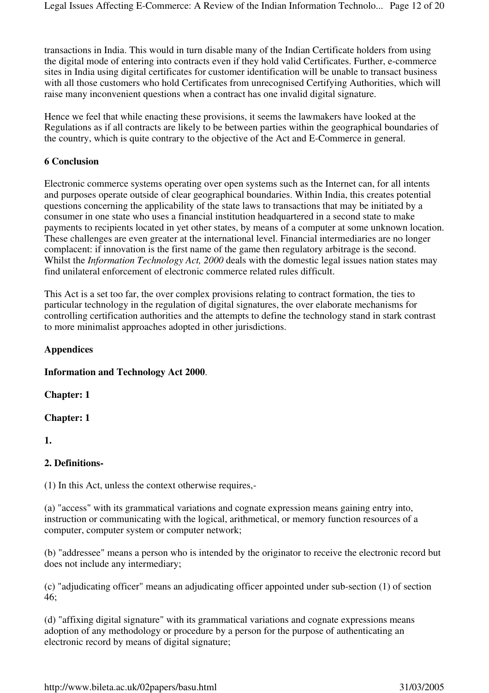transactions in India. This would in turn disable many of the Indian Certificate holders from using the digital mode of entering into contracts even if they hold valid Certificates. Further, e-commerce sites in India using digital certificates for customer identification will be unable to transact business with all those customers who hold Certificates from unrecognised Certifying Authorities, which will raise many inconvenient questions when a contract has one invalid digital signature.

Hence we feel that while enacting these provisions, it seems the lawmakers have looked at the Regulations as if all contracts are likely to be between parties within the geographical boundaries of the country, which is quite contrary to the objective of the Act and E-Commerce in general.

## **6 Conclusion**

Electronic commerce systems operating over open systems such as the Internet can, for all intents and purposes operate outside of clear geographical boundaries. Within India, this creates potential questions concerning the applicability of the state laws to transactions that may be initiated by a consumer in one state who uses a financial institution headquartered in a second state to make payments to recipients located in yet other states, by means of a computer at some unknown location. These challenges are even greater at the international level. Financial intermediaries are no longer complacent: if innovation is the first name of the game then regulatory arbitrage is the second. Whilst the *Information Technology Act, 2000* deals with the domestic legal issues nation states may find unilateral enforcement of electronic commerce related rules difficult.

This Act is a set too far, the over complex provisions relating to contract formation, the ties to particular technology in the regulation of digital signatures, the over elaborate mechanisms for controlling certification authorities and the attempts to define the technology stand in stark contrast to more minimalist approaches adopted in other jurisdictions.

# **Appendices**

## **Information and Technology Act 2000**.

**Chapter: 1**

## **Chapter: 1**

**1.**

# **2. Definitions-**

(1) In this Act, unless the context otherwise requires,-

(a) "access" with its grammatical variations and cognate expression means gaining entry into, instruction or communicating with the logical, arithmetical, or memory function resources of a computer, computer system or computer network;

(b) "addressee" means a person who is intended by the originator to receive the electronic record but does not include any intermediary;

(c) "adjudicating officer" means an adjudicating officer appointed under sub-section (1) of section 46;

(d) "affixing digital signature" with its grammatical variations and cognate expressions means adoption of any methodology or procedure by a person for the purpose of authenticating an electronic record by means of digital signature;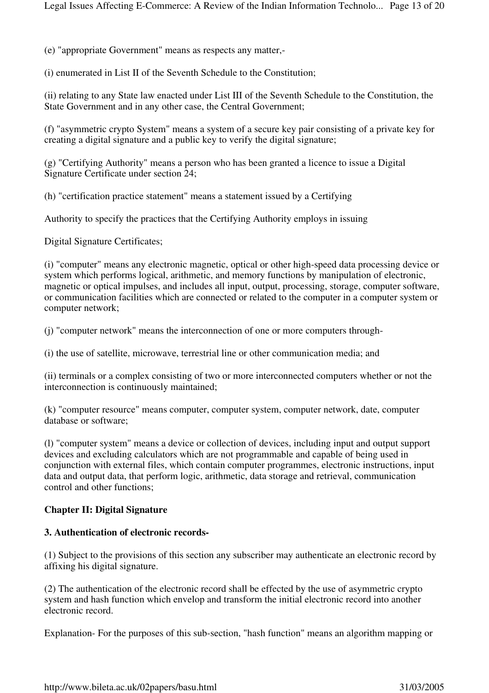(e) "appropriate Government" means as respects any matter,-

(i) enumerated in List II of the Seventh Schedule to the Constitution;

(ii) relating to any State law enacted under List III of the Seventh Schedule to the Constitution, the State Government and in any other case, the Central Government;

(f) "asymmetric crypto System" means a system of a secure key pair consisting of a private key for creating a digital signature and a public key to verify the digital signature;

(g) "Certifying Authority" means a person who has been granted a licence to issue a Digital Signature Certificate under section 24;

(h) "certification practice statement" means a statement issued by a Certifying

Authority to specify the practices that the Certifying Authority employs in issuing

Digital Signature Certificates;

(i) "computer" means any electronic magnetic, optical or other high-speed data processing device or system which performs logical, arithmetic, and memory functions by manipulation of electronic, magnetic or optical impulses, and includes all input, output, processing, storage, computer software, or communication facilities which are connected or related to the computer in a computer system or computer network;

(j) "computer network" means the interconnection of one or more computers through-

(i) the use of satellite, microwave, terrestrial line or other communication media; and

(ii) terminals or a complex consisting of two or more interconnected computers whether or not the interconnection is continuously maintained;

(k) "computer resource" means computer, computer system, computer network, date, computer database or software;

(l) "computer system" means a device or collection of devices, including input and output support devices and excluding calculators which are not programmable and capable of being used in conjunction with external files, which contain computer programmes, electronic instructions, input data and output data, that perform logic, arithmetic, data storage and retrieval, communication control and other functions;

## **Chapter II: Digital Signature**

# **3. Authentication of electronic records-**

(1) Subject to the provisions of this section any subscriber may authenticate an electronic record by affixing his digital signature.

(2) The authentication of the electronic record shall be effected by the use of asymmetric crypto system and hash function which envelop and transform the initial electronic record into another electronic record.

Explanation- For the purposes of this sub-section, "hash function" means an algorithm mapping or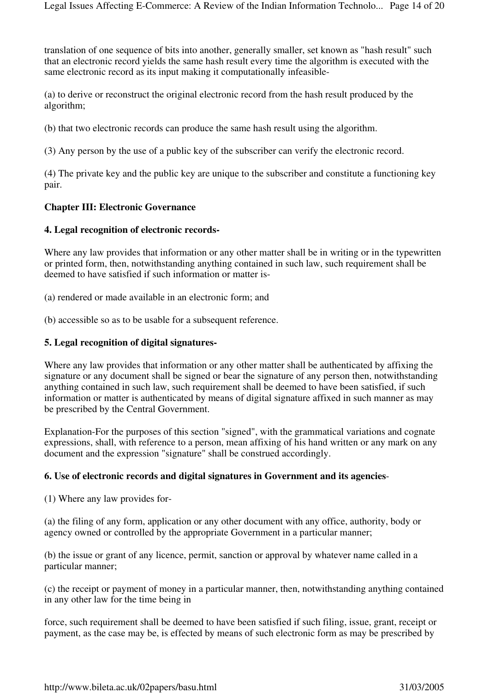translation of one sequence of bits into another, generally smaller, set known as "hash result" such that an electronic record yields the same hash result every time the algorithm is executed with the same electronic record as its input making it computationally infeasible-

(a) to derive or reconstruct the original electronic record from the hash result produced by the algorithm;

(b) that two electronic records can produce the same hash result using the algorithm.

(3) Any person by the use of a public key of the subscriber can verify the electronic record.

(4) The private key and the public key are unique to the subscriber and constitute a functioning key pair.

# **Chapter III: Electronic Governance**

# **4. Legal recognition of electronic records-**

Where any law provides that information or any other matter shall be in writing or in the typewritten or printed form, then, notwithstanding anything contained in such law, such requirement shall be deemed to have satisfied if such information or matter is-

(a) rendered or made available in an electronic form; and

(b) accessible so as to be usable for a subsequent reference.

# **5. Legal recognition of digital signatures-**

Where any law provides that information or any other matter shall be authenticated by affixing the signature or any document shall be signed or bear the signature of any person then, notwithstanding anything contained in such law, such requirement shall be deemed to have been satisfied, if such information or matter is authenticated by means of digital signature affixed in such manner as may be prescribed by the Central Government.

Explanation-For the purposes of this section "signed", with the grammatical variations and cognate expressions, shall, with reference to a person, mean affixing of his hand written or any mark on any document and the expression "signature" shall be construed accordingly.

## **6. Use of electronic records and digital signatures in Government and its agencies**-

(1) Where any law provides for-

(a) the filing of any form, application or any other document with any office, authority, body or agency owned or controlled by the appropriate Government in a particular manner;

(b) the issue or grant of any licence, permit, sanction or approval by whatever name called in a particular manner;

(c) the receipt or payment of money in a particular manner, then, notwithstanding anything contained in any other law for the time being in

force, such requirement shall be deemed to have been satisfied if such filing, issue, grant, receipt or payment, as the case may be, is effected by means of such electronic form as may be prescribed by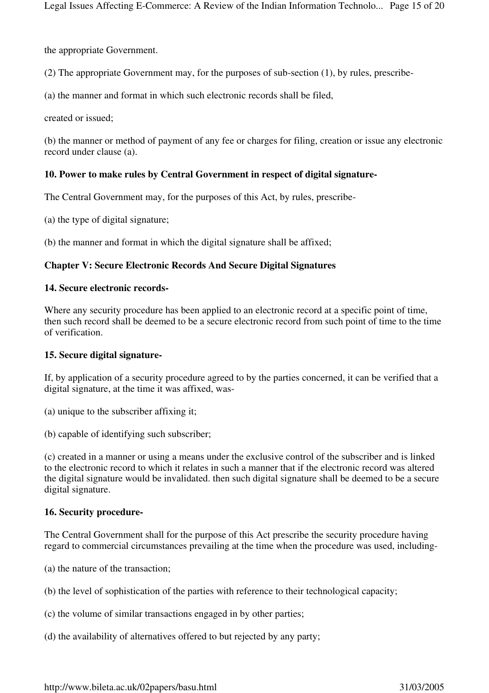the appropriate Government.

(2) The appropriate Government may, for the purposes of sub-section (1), by rules, prescribe-

(a) the manner and format in which such electronic records shall be filed,

created or issued;

(b) the manner or method of payment of any fee or charges for filing, creation or issue any electronic record under clause (a).

# **10. Power to make rules by Central Government in respect of digital signature-**

The Central Government may, for the purposes of this Act, by rules, prescribe-

(a) the type of digital signature;

(b) the manner and format in which the digital signature shall be affixed;

## **Chapter V: Secure Electronic Records And Secure Digital Signatures**

## **14. Secure electronic records-**

Where any security procedure has been applied to an electronic record at a specific point of time, then such record shall be deemed to be a secure electronic record from such point of time to the time of verification.

## **15. Secure digital signature-**

If, by application of a security procedure agreed to by the parties concerned, it can be verified that a digital signature, at the time it was affixed, was-

(a) unique to the subscriber affixing it;

(b) capable of identifying such subscriber;

(c) created in a manner or using a means under the exclusive control of the subscriber and is linked to the electronic record to which it relates in such a manner that if the electronic record was altered the digital signature would be invalidated. then such digital signature shall be deemed to be a secure digital signature.

## **16. Security procedure-**

The Central Government shall for the purpose of this Act prescribe the security procedure having regard to commercial circumstances prevailing at the time when the procedure was used, including-

- (a) the nature of the transaction;
- (b) the level of sophistication of the parties with reference to their technological capacity;
- (c) the volume of similar transactions engaged in by other parties;
- (d) the availability of alternatives offered to but rejected by any party;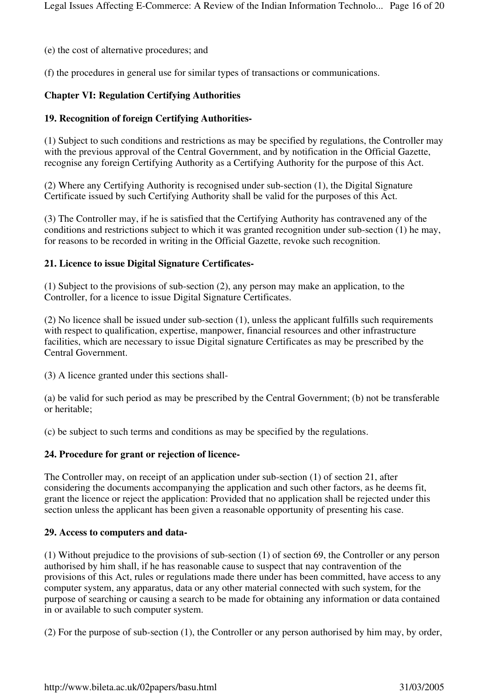(e) the cost of alternative procedures; and

(f) the procedures in general use for similar types of transactions or communications.

# **Chapter VI: Regulation Certifying Authorities**

# **19. Recognition of foreign Certifying Authorities-**

(1) Subject to such conditions and restrictions as may be specified by regulations, the Controller may with the previous approval of the Central Government, and by notification in the Official Gazette, recognise any foreign Certifying Authority as a Certifying Authority for the purpose of this Act.

(2) Where any Certifying Authority is recognised under sub-section (1), the Digital Signature Certificate issued by such Certifying Authority shall be valid for the purposes of this Act.

(3) The Controller may, if he is satisfied that the Certifying Authority has contravened any of the conditions and restrictions subject to which it was granted recognition under sub-section (1) he may, for reasons to be recorded in writing in the Official Gazette, revoke such recognition.

## **21. Licence to issue Digital Signature Certificates-**

(1) Subject to the provisions of sub-section (2), any person may make an application, to the Controller, for a licence to issue Digital Signature Certificates.

(2) No licence shall be issued under sub-section (1), unless the applicant fulfills such requirements with respect to qualification, expertise, manpower, financial resources and other infrastructure facilities, which are necessary to issue Digital signature Certificates as may be prescribed by the Central Government.

(3) A licence granted under this sections shall-

(a) be valid for such period as may be prescribed by the Central Government; (b) not be transferable or heritable;

(c) be subject to such terms and conditions as may be specified by the regulations.

## **24. Procedure for grant or rejection of licence-**

The Controller may, on receipt of an application under sub-section (1) of section 21, after considering the documents accompanying the application and such other factors, as he deems fit, grant the licence or reject the application: Provided that no application shall be rejected under this section unless the applicant has been given a reasonable opportunity of presenting his case.

## **29. Access to computers and data-**

(1) Without prejudice to the provisions of sub-section (1) of section 69, the Controller or any person authorised by him shall, if he has reasonable cause to suspect that nay contravention of the provisions of this Act, rules or regulations made there under has been committed, have access to any computer system, any apparatus, data or any other material connected with such system, for the purpose of searching or causing a search to be made for obtaining any information or data contained in or available to such computer system.

(2) For the purpose of sub-section (1), the Controller or any person authorised by him may, by order,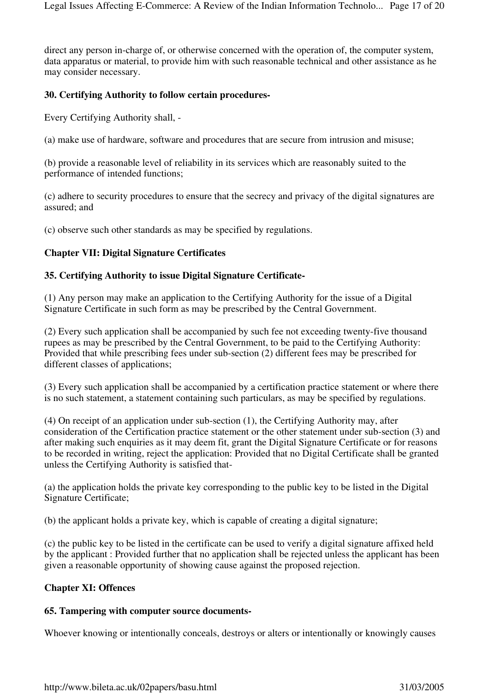direct any person in-charge of, or otherwise concerned with the operation of, the computer system, data apparatus or material, to provide him with such reasonable technical and other assistance as he may consider necessary.

# **30. Certifying Authority to follow certain procedures-**

Every Certifying Authority shall, -

(a) make use of hardware, software and procedures that are secure from intrusion and misuse;

(b) provide a reasonable level of reliability in its services which are reasonably suited to the performance of intended functions;

(c) adhere to security procedures to ensure that the secrecy and privacy of the digital signatures are assured; and

(c) observe such other standards as may be specified by regulations.

# **Chapter VII: Digital Signature Certificates**

# **35. Certifying Authority to issue Digital Signature Certificate-**

(1) Any person may make an application to the Certifying Authority for the issue of a Digital Signature Certificate in such form as may be prescribed by the Central Government.

(2) Every such application shall be accompanied by such fee not exceeding twenty-five thousand rupees as may be prescribed by the Central Government, to be paid to the Certifying Authority: Provided that while prescribing fees under sub-section (2) different fees may be prescribed for different classes of applications;

(3) Every such application shall be accompanied by a certification practice statement or where there is no such statement, a statement containing such particulars, as may be specified by regulations.

(4) On receipt of an application under sub-section (1), the Certifying Authority may, after consideration of the Certification practice statement or the other statement under sub-section (3) and after making such enquiries as it may deem fit, grant the Digital Signature Certificate or for reasons to be recorded in writing, reject the application: Provided that no Digital Certificate shall be granted unless the Certifying Authority is satisfied that-

(a) the application holds the private key corresponding to the public key to be listed in the Digital Signature Certificate;

(b) the applicant holds a private key, which is capable of creating a digital signature;

(c) the public key to be listed in the certificate can be used to verify a digital signature affixed held by the applicant : Provided further that no application shall be rejected unless the applicant has been given a reasonable opportunity of showing cause against the proposed rejection.

# **Chapter XI: Offences**

## **65. Tampering with computer source documents-**

Whoever knowing or intentionally conceals, destroys or alters or intentionally or knowingly causes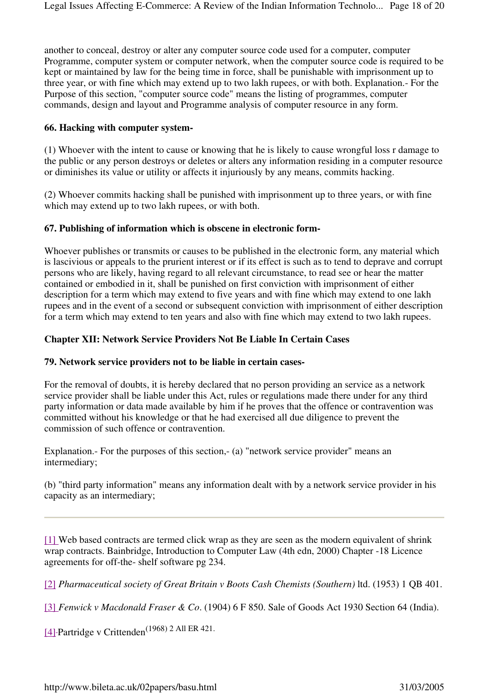another to conceal, destroy or alter any computer source code used for a computer, computer Programme, computer system or computer network, when the computer source code is required to be kept or maintained by law for the being time in force, shall be punishable with imprisonment up to three year, or with fine which may extend up to two lakh rupees, or with both. Explanation.- For the Purpose of this section, "computer source code" means the listing of programmes, computer commands, design and layout and Programme analysis of computer resource in any form.

# **66. Hacking with computer system-**

(1) Whoever with the intent to cause or knowing that he is likely to cause wrongful loss r damage to the public or any person destroys or deletes or alters any information residing in a computer resource or diminishes its value or utility or affects it injuriously by any means, commits hacking.

(2) Whoever commits hacking shall be punished with imprisonment up to three years, or with fine which may extend up to two lakh rupees, or with both.

## **67. Publishing of information which is obscene in electronic form-**

Whoever publishes or transmits or causes to be published in the electronic form, any material which is lascivious or appeals to the prurient interest or if its effect is such as to tend to deprave and corrupt persons who are likely, having regard to all relevant circumstance, to read see or hear the matter contained or embodied in it, shall be punished on first conviction with imprisonment of either description for a term which may extend to five years and with fine which may extend to one lakh rupees and in the event of a second or subsequent conviction with imprisonment of either description for a term which may extend to ten years and also with fine which may extend to two lakh rupees.

# **Chapter XII: Network Service Providers Not Be Liable In Certain Cases**

## **79. Network service providers not to be liable in certain cases-**

For the removal of doubts, it is hereby declared that no person providing an service as a network service provider shall be liable under this Act, rules or regulations made there under for any third party information or data made available by him if he proves that the offence or contravention was committed without his knowledge or that he had exercised all due diligence to prevent the commission of such offence or contravention.

Explanation.- For the purposes of this section,- (a) "network service provider" means an intermediary;

(b) "third party information" means any information dealt with by a network service provider in his capacity as an intermediary;

[1] Web based contracts are termed click wrap as they are seen as the modern equivalent of shrink wrap contracts. Bainbridge, Introduction to Computer Law (4th edn, 2000) Chapter -18 Licence agreements for off-the- shelf software pg 234.

[2] *Pharmaceutical society of Great Britain v Boots Cash Chemists (Southern)* ltd. (1953) 1 QB 401.

[3] *Fenwick v Macdonald Fraser & Co*. (1904) 6 F 850. Sale of Goods Act 1930 Section 64 (India).

[4] Partridge v Crittenden(1968) 2 All ER 421.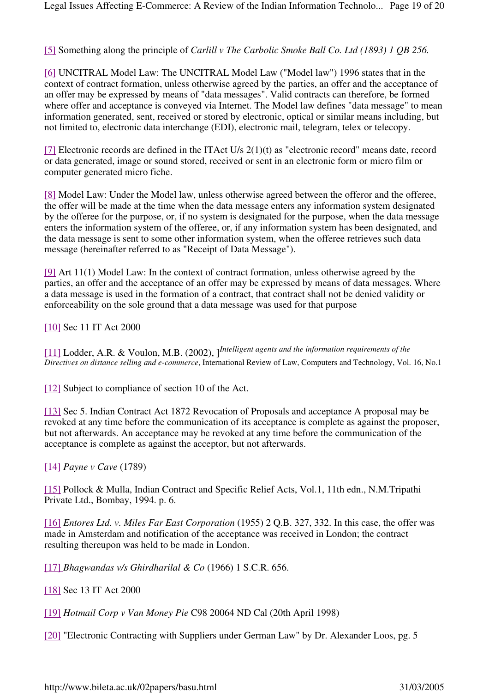[5] Something along the principle of *Carlill v The Carbolic Smoke Ball Co. Ltd (1893) 1 QB 256.*

[6] UNCITRAL Model Law: The UNCITRAL Model Law ("Model law") 1996 states that in the context of contract formation, unless otherwise agreed by the parties, an offer and the acceptance of an offer may be expressed by means of "data messages". Valid contracts can therefore, be formed where offer and acceptance is conveyed via Internet. The Model law defines "data message" to mean information generated, sent, received or stored by electronic, optical or similar means including, but not limited to, electronic data interchange (EDI), electronic mail, telegram, telex or telecopy.

[7] Electronic records are defined in the ITAct U/s 2(1)(t) as "electronic record" means date, record or data generated, image or sound stored, received or sent in an electronic form or micro film or computer generated micro fiche.

[8] Model Law: Under the Model law, unless otherwise agreed between the offeror and the offeree, the offer will be made at the time when the data message enters any information system designated by the offeree for the purpose, or, if no system is designated for the purpose, when the data message enters the information system of the offeree, or, if any information system has been designated, and the data message is sent to some other information system, when the offeree retrieves such data message (hereinafter referred to as "Receipt of Data Message").

[9] Art 11(1) Model Law: In the context of contract formation, unless otherwise agreed by the parties, an offer and the acceptance of an offer may be expressed by means of data messages. Where a data message is used in the formation of a contract, that contract shall not be denied validity or enforceability on the sole ground that a data message was used for that purpose

[10] Sec 11 IT Act 2000

[11] Lodder, A.R. & Voulon, M.B. (2002), ]*Intelligent agents and the information requirements of the Directives on distance selling and e-commerce*, International Review of Law, Computers and Technology, Vol. 16, No.1

[12] Subject to compliance of section 10 of the Act.

[13] Sec 5. Indian Contract Act 1872 Revocation of Proposals and acceptance A proposal may be revoked at any time before the communication of its acceptance is complete as against the proposer, but not afterwards. An acceptance may be revoked at any time before the communication of the acceptance is complete as against the acceptor, but not afterwards.

[14] *Payne v Cave* (1789)

[15] Pollock & Mulla, Indian Contract and Specific Relief Acts, Vol.1, 11th edn., N.M.Tripathi Private Ltd., Bombay, 1994. p. 6.

[16] *Entores Ltd. v. Miles Far East Corporation* (1955) 2 Q.B. 327, 332. In this case, the offer was made in Amsterdam and notification of the acceptance was received in London; the contract resulting thereupon was held to be made in London.

[17] *Bhagwandas v/s Ghirdharilal & Co* (1966) 1 S.C.R. 656.

[18] Sec 13 IT Act 2000

[19] *Hotmail Corp v Van Money Pie* C98 20064 ND Cal (20th April 1998)

[20] "Electronic Contracting with Suppliers under German Law" by Dr. Alexander Loos, pg. 5